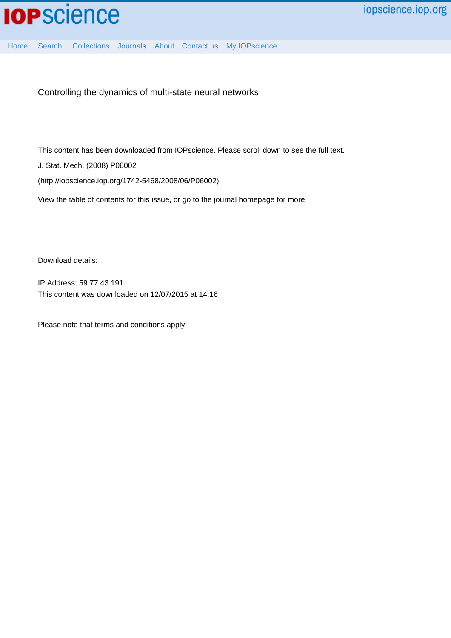[Home](http://iopscience.iop.org/) [Search](http://iopscience.iop.org/search) [Collections](http://iopscience.iop.org/collections) [Journals](http://iopscience.iop.org/journals) [About](http://iopscience.iop.org/page/aboutioppublishing) [Contact us](http://iopscience.iop.org/contact) [My IOPscience](http://iopscience.iop.org/myiopscience)

Controlling the dynamics of multi-state neural networks

This content has been downloaded from IOPscience. Please scroll down to see the full text.

J. Stat. Mech. (2008) P06002

(http://iopscience.iop.org/1742-5468/2008/06/P06002)

View [the table of contents for this issue](http://iopscience.iop.org/1742-5468/2008/06), or go to the [journal homepage](http://iopscience.iop.org/1742-5468) for more

Download details:

IP Address: 59.77.43.191 This content was downloaded on 12/07/2015 at 14:16

Please note that [terms and conditions apply.](iopscience.iop.org/page/terms)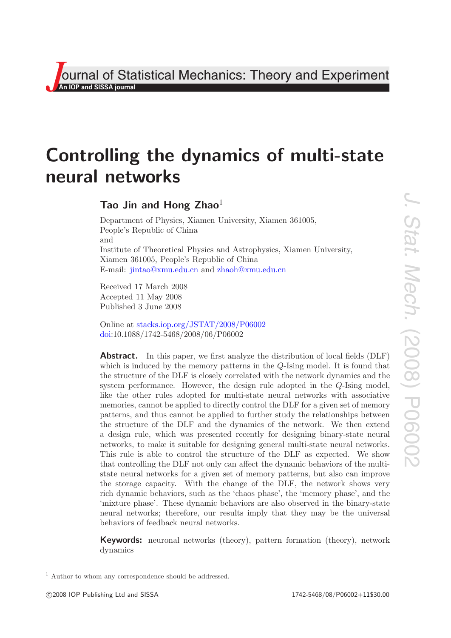**J**<br>**An IOP and SISSA journal**<br>*An* **IOP and SISSA journal** Theory and Experiment

# **Controlling the dynamics of multi-state neural networks**

## **Tao Jin and Hong Zhao**<sup>1</sup>

Department of Physics, Xiamen University, Xiamen 361005, People's Republic of China and Institute of Theoretical Physics and Astrophysics, Xiamen University, Xiamen 361005, People's Republic of China E-mail: [jintao@xmu.edu.cn](mailto:jintao@xmu.edu.cn) and [zhaoh@xmu.edu.cn](mailto:zhaoh@xmu.edu.cn)

Received 17 March 2008 Accepted 11 May 2008 Published 3 June 2008

Online at [stacks.iop.org/JSTAT/2008/P06002](http://stacks.iop.org/JSTAT/2008/P06002) [doi:](http://dx.doi.org/10.1088/1742-5468/2008/06/P06002)10.1088/1742-5468/2008/06/P06002

**Abstract.** In this paper, we first analyze the distribution of local fields (DLF) which is induced by the memory patterns in the Q-Ising model. It is found that the structure of the DLF is closely correlated with the network dynamics and the system performance. However, the design rule adopted in the Q-Ising model, like the other rules adopted for multi-state neural networks with associative memories, cannot be applied to directly control the DLF for a given set of memory patterns, and thus cannot be applied to further study the relationships between the structure of the DLF and the dynamics of the network. We then extend a design rule, which was presented recently for designing binary-state neural networks, to make it suitable for designing general multi-state neural networks. This rule is able to control the structure of the DLF as expected. We show that controlling the DLF not only can affect the dynamic behaviors of the multistate neural networks for a given set of memory patterns, but also can improve the storage capacity. With the change of the DLF, the network shows very rich dynamic behaviors, such as the 'chaos phase', the 'memory phase', and the 'mixture phase'. These dynamic behaviors are also observed in the binary-state neural networks; therefore, our results imply that they may be the universal behaviors of feedback neural networks.

**Keywords:** neuronal networks (theory), pattern formation (theory), network dynamics

<sup>&</sup>lt;sup>1</sup> Author to whom any correspondence should be addressed.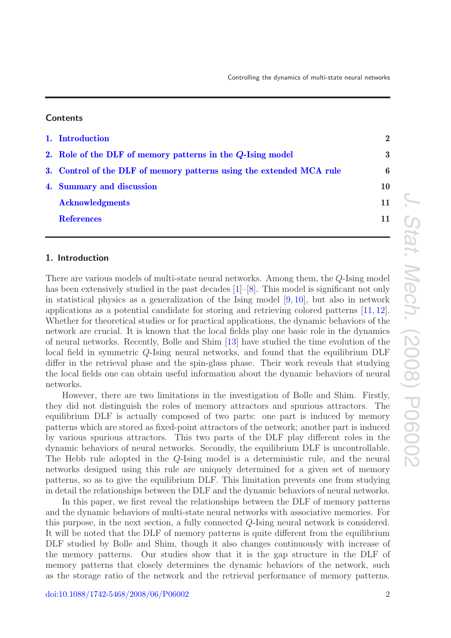#### **Contents**

|  | 1. Introduction                                                      | $\mathbf 2$ |
|--|----------------------------------------------------------------------|-------------|
|  | 2. Role of the DLF of memory patterns in the Q-Ising model           | 3           |
|  | 3. Control of the DLF of memory patterns using the extended MCA rule | 6           |
|  | 4. Summary and discussion                                            | 10          |
|  | <b>Acknowledgments</b>                                               | 11          |
|  | <b>References</b>                                                    |             |
|  |                                                                      |             |

#### <span id="page-2-0"></span>**1. Introduction**

There are various models of multi-state neural networks. Among them, the Q-Ising model has been extensively studied in the past decades [\[1\]](#page-11-3)–[\[8\]](#page-11-4). This model is significant not only in statistical physics as a generalization of the Ising model  $[9, 10]$  $[9, 10]$  $[9, 10]$ , but also in network applications as a potential candidate for storing and retrieving colored patterns [\[11,](#page-11-7) [12\]](#page-11-8). Whether for theoretical studies or for practical applications, the dynamic behaviors of the network are crucial. It is known that the local fields play one basic role in the dynamics of neural networks. Recently, Bolle and Shim [\[13\]](#page-11-9) have studied the time evolution of the local field in symmetric Q-Ising neural networks, and found that the equilibrium DLF differ in the retrieval phase and the spin-glass phase. Their work reveals that studying the local fields one can obtain useful information about the dynamic behaviors of neural networks.

However, there are two limitations in the investigation of Bolle and Shim. Firstly, they did not distinguish the roles of memory attractors and spurious attractors. The equilibrium DLF is actually composed of two parts: one part is induced by memory patterns which are stored as fixed-point attractors of the network; another part is induced by various spurious attractors. This two parts of the DLF play different roles in the dynamic behaviors of neural networks. Secondly, the equilibrium DLF is uncontrollable. The Hebb rule adopted in the Q-Ising model is a deterministic rule, and the neural networks designed using this rule are uniquely determined for a given set of memory patterns, so as to give the equilibrium DLF. This limitation prevents one from studying in detail the relationships between the DLF and the dynamic behaviors of neural networks.

In this paper, we first reveal the relationships between the DLF of memory patterns and the dynamic behaviors of multi-state neural networks with associative memories. For this purpose, in the next section, a fully connected Q-Ising neural network is considered. It will be noted that the DLF of memory patterns is quite different from the equilibrium DLF studied by Bolle and Shim, though it also changes continuously with increase of the memory patterns. Our studies show that it is the gap structure in the DLF of memory patterns that closely determines the dynamic behaviors of the network, such as the storage ratio of the network and the retrieval performance of memory patterns.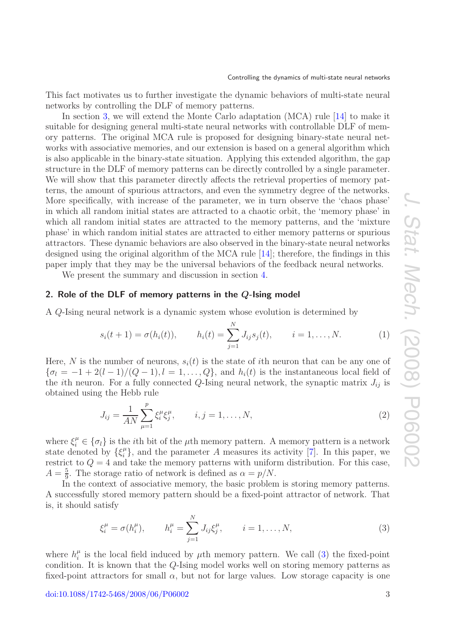This fact motivates us to further investigate the dynamic behaviors of multi-state neural networks by controlling the DLF of memory patterns.

In section [3,](#page-6-0) we will extend the Monte Carlo adaptation (MCA) rule [\[14\]](#page-11-10) to make it suitable for designing general multi-state neural networks with controllable DLF of memory patterns. The original MCA rule is proposed for designing binary-state neural networks with associative memories, and our extension is based on a general algorithm which is also applicable in the binary-state situation. Applying this extended algorithm, the gap structure in the DLF of memory patterns can be directly controlled by a single parameter. We will show that this parameter directly affects the retrieval properties of memory patterns, the amount of spurious attractors, and even the symmetry degree of the networks. More specifically, with increase of the parameter, we in turn observe the 'chaos phase' in which all random initial states are attracted to a chaotic orbit, the 'memory phase' in which all random initial states are attracted to the memory patterns, and the 'mixture phase' in which random initial states are attracted to either memory patterns or spurious attractors. These dynamic behaviors are also observed in the binary-state neural networks designed using the original algorithm of the MCA rule [\[14\]](#page-11-10); therefore, the findings in this paper imply that they may be the universal behaviors of the feedback neural networks.

We present the summary and discussion in section [4.](#page-10-0)

#### <span id="page-3-0"></span>**2. Role of the DLF of memory patterns in the** *Q***-Ising model**

A Q-Ising neural network is a dynamic system whose evolution is determined by

<span id="page-3-2"></span>
$$
s_i(t+1) = \sigma(h_i(t)), \qquad h_i(t) = \sum_{j=1}^N J_{ij} s_j(t), \qquad i = 1, ..., N.
$$
 (1)

Here, N is the number of neurons,  $s_i(t)$  is the state of *i*th neuron that can be any one of  ${\sigma_l = -1 + 2(l-1)/(Q-1), l = 1,...,Q}$ , and  $h_i(t)$  is the instantaneous local field of the *i*th neuron. For a fully connected Q-Ising neural network, the synaptic matrix  $J_{ij}$  is obtained using the Hebb rule

$$
J_{ij} = \frac{1}{AN} \sum_{\mu=1}^{p} \xi_i^{\mu} \xi_j^{\mu}, \qquad i, j = 1, ..., N,
$$
 (2)

where  $\xi_i^{\mu} \in {\{\sigma_l\}}$  is the *i*th bit of the  $\mu$ th memory pattern. A memory pattern is a network state denoted by  $\{\xi_i^{\mu}\}\$ , and the parameter A measures its activity [\[7\]](#page-11-11). In this paper, we restrict to  $Q = 4$  and take the memory patterns with uniform distribution. For this case,  $A = \frac{5}{9}$ . The storage ratio of network is defined as  $\alpha = p/N$ .

In the context of associative memory, the basic problem is storing memory patterns. A successfully stored memory pattern should be a fixed-point attractor of network. That is, it should satisfy

<span id="page-3-1"></span>
$$
\xi_i^{\mu} = \sigma(h_i^{\mu}), \qquad h_i^{\mu} = \sum_{j=1}^{N} J_{ij} \xi_j^{\mu}, \qquad i = 1, ..., N,
$$
\n(3)

where  $h_i^{\mu}$  is the local field induced by  $\mu$ th memory pattern. We call [\(3\)](#page-3-1) the fixed-point condition. It is known that the Q-Ising model works well on storing memory patterns as fixed-point attractors for small  $\alpha$ , but not for large values. Low storage capacity is one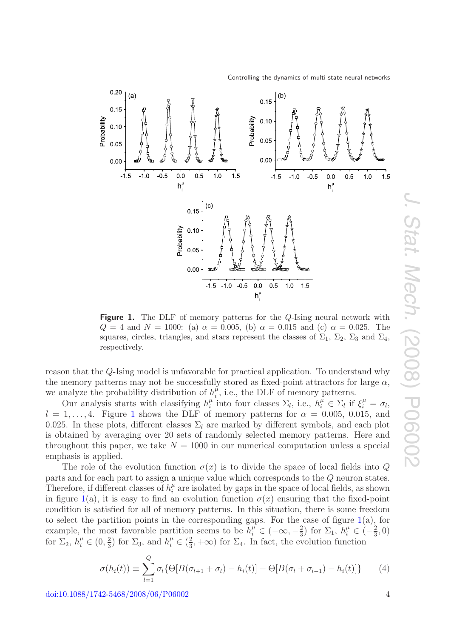J. Stat. Mech. (2008)P06002

Controlling the dynamics of multi-state neural networks

<span id="page-4-0"></span>

**Figure 1.** The DLF of memory patterns for the Q-Ising neural network with  $Q = 4$  and  $N = 1000$ : (a)  $\alpha = 0.005$ , (b)  $\alpha = 0.015$  and (c)  $\alpha = 0.025$ . The squares, circles, triangles, and stars represent the classes of  $\Sigma_1$ ,  $\Sigma_2$ ,  $\Sigma_3$  and  $\Sigma_4$ , respectively.

reason that the Q-Ising model is unfavorable for practical application. To understand why the memory patterns may not be successfully stored as fixed-point attractors for large  $\alpha$ , we analyze the probability distribution of  $h_i^{\mu}$ , i.e., the DLF of memory patterns.

Our analysis starts with classifying  $h_i^{\mu}$  into four classes  $\Sigma_l$ , i.e.,  $h_i^{\mu} \in \Sigma_l$  if  $\xi_i^{\mu} = \sigma_l$ ,  $l = 1, \ldots, 4$  $l = 1, \ldots, 4$  $l = 1, \ldots, 4$ . Figure 1 shows the DLF of memory patterns for  $\alpha = 0.005, 0.015,$  and 0.025. In these plots, different classes  $\Sigma_l$  are marked by different symbols, and each plot is obtained by averaging over 20 sets of randomly selected memory patterns. Here and throughout this paper, we take  $N = 1000$  in our numerical computation unless a special emphasis is applied.

The role of the evolution function  $\sigma(x)$  is to divide the space of local fields into Q parts and for each part to assign a unique value which corresponds to the Q neuron states. Therefore, if different classes of  $h_i^{\mu}$  are isolated by gaps in the space of local fields, as shown in figure [1\(](#page-4-0)a), it is easy to find an evolution function  $\sigma(x)$  ensuring that the fixed-point condition is satisfied for all of memory patterns. In this situation, there is some freedom to select the partition points in the corresponding gaps. For the case of figure  $1(a)$  $1(a)$ , for example, the most favorable partition seems to be  $h_i^{\mu} \in (-\infty, -\frac{2}{3})$  for  $\Sigma_1$ ,  $h_i^{\mu} \in (-\frac{2}{3}, 0)$ for  $\Sigma_2$ ,  $h_i^{\mu} \in (0, \frac{2}{3})$  for  $\Sigma_3$ , and  $h_i^{\mu} \in (\frac{2}{3}, +\infty)$  for  $\Sigma_4$ . In fact, the evolution function

$$
\sigma(h_i(t)) \equiv \sum_{l=1}^{Q} \sigma_l \{ \Theta[B(\sigma_{l+1} + \sigma_l) - h_i(t)] - \Theta[B(\sigma_l + \sigma_{l-1}) - h_i(t)] \} \tag{4}
$$

[doi:10.1088/1742-5468/2008/06/P06002](http://dx.doi.org/10.1088/1742-5468/2008/06/P06002) 4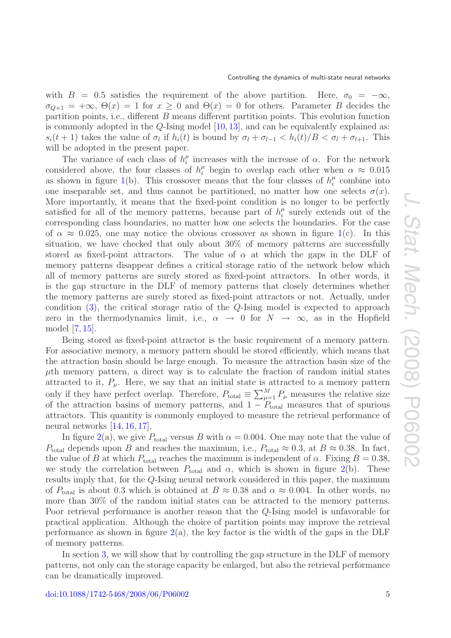with B = 0.5 satisfies the requirement of the above partition. Here,  $\sigma_0 = -\infty$ ,  $\sigma_{Q+1} = +\infty$ ,  $\Theta(x) = 1$  for  $x \ge 0$  and  $\Theta(x) = 0$  for others. Parameter B decides the partition points, i.e., different  $B$  means different partition points. This evolution function is commonly adopted in the  $Q$ -Ising model  $[10, 13]$  $[10, 13]$  $[10, 13]$ , and can be equivalently explained as:  $s_i(t+1)$  takes the value of  $\sigma_l$  if  $h_i(t)$  is bound by  $\sigma_l + \sigma_{l-1} < h_i(t)/B < \sigma_l + \sigma_{l+1}$ . This will be adopted in the present paper.

The variance of each class of  $h_i^{\mu}$  increases with the increase of  $\alpha$ . For the network considered above, the four classes of  $h_i^{\mu}$  begin to overlap each other when  $\alpha \approx 0.015$ as shown in figure [1\(](#page-4-0)b). This crossover means that the four classes of  $h_i^{\mu}$  combine into one inseparable set, and thus cannot be partitioned, no matter how one selects  $\sigma(x)$ . More importantly, it means that the fixed-point condition is no longer to be perfectly satisfied for all of the memory patterns, because part of  $h_i^{\mu}$  surely extends out of the corresponding class boundaries, no matter how one selects the boundaries. For the case of  $\alpha \approx 0.025$ , one may notice the obvious crossover as shown in figure [1\(](#page-4-0)c). In this situation, we have checked that only about 30% of memory patterns are successfully stored as fixed-point attractors. The value of  $\alpha$  at which the gaps in the DLF of memory patterns disappear defines a critical storage ratio of the network below which all of memory patterns are surely stored as fixed-point attractors. In other words, it is the gap structure in the DLF of memory patterns that closely determines whether the memory patterns are surely stored as fixed-point attractors or not. Actually, under condition [\(3\)](#page-3-1), the critical storage ratio of the Q-Ising model is expected to approach zero in the thermodynamics limit, i.e.,  $\alpha \rightarrow 0$  for  $N \rightarrow \infty$ , as in the Hopfield model [\[7,](#page-11-11) [15\]](#page-11-12).

Being stored as fixed-point attractor is the basic requirement of a memory pattern. For associative memory, a memory pattern should be stored efficiently, which means that the attraction basin should be large enough. To measure the attraction basin size of the  $\mu$ th memory pattern, a direct way is to calculate the fraction of random initial states attracted to it,  $P_{\mu}$ . Here, we say that an initial state is attracted to a memory pattern only if they have perfect overlap. Therefore,  $P_{\text{total}} \equiv \sum_{\mu=1}^{M} P_{\mu}$  measures the relative size of the attraction basins of memory patterns, and  $1 - P_{total}$  measures that of spurious attractors. This quantity is commonly employed to measure the retrieval performance of neural networks [\[14,](#page-11-10) [16,](#page-11-13) [17\]](#page-11-14).

In figure [2\(](#page-6-1)a), we give  $P_{\text{total}}$  versus B with  $\alpha = 0.004$ . One may note that the value of  $P_{\text{total}}$  depends upon B and reaches the maximum, i.e.,  $P_{\text{total}} \approx 0.3$ , at  $B \approx 0.38$ . In fact, the value of B at which  $P_{\text{total}}$  reaches the maximum is independent of  $\alpha$ . Fixing  $B = 0.38$ , we study the correlation between  $P_{total}$  and  $\alpha$ , which is shown in figure [2\(](#page-6-1)b). These results imply that, for the Q-Ising neural network considered in this paper, the maximum of  $P_{\text{total}}$  is about 0.3 which is obtained at  $B \approx 0.38$  and  $\alpha \approx 0.004$ . In other words, no more than 30% of the random initial states can be attracted to the memory patterns. Poor retrieval performance is another reason that the Q-Ising model is unfavorable for practical application. Although the choice of partition points may improve the retrieval performance as shown in figure  $2(a)$  $2(a)$ , the key factor is the width of the gaps in the DLF of memory patterns.

In section [3,](#page-6-0) we will show that by controlling the gap structure in the DLF of memory patterns, not only can the storage capacity be enlarged, but also the retrieval performance can be dramatically improved.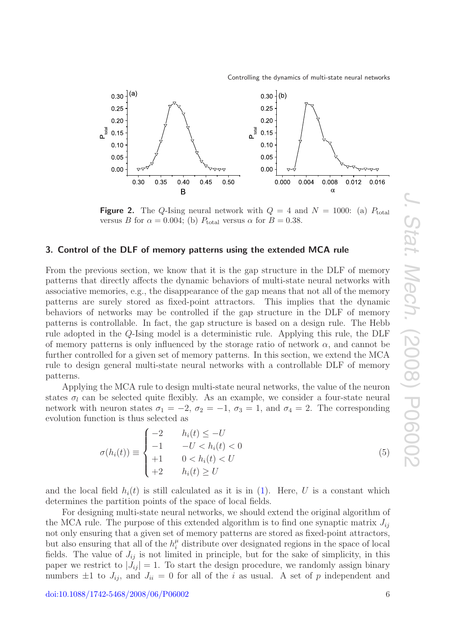Controlling the dynamics of multi-state neural networks

<span id="page-6-1"></span>

**Figure 2.** The Q-Ising neural network with  $Q = 4$  and  $N = 1000$ : (a)  $P_{total}$ versus B for  $\alpha = 0.004$ ; (b)  $P_{\text{total}}$  versus  $\alpha$  for  $B = 0.38$ .

#### <span id="page-6-0"></span>**3. Control of the DLF of memory patterns using the extended MCA rule**

From the previous section, we know that it is the gap structure in the DLF of memory patterns that directly affects the dynamic behaviors of multi-state neural networks with associative memories, e.g., the disappearance of the gap means that not all of the memory patterns are surely stored as fixed-point attractors. This implies that the dynamic behaviors of networks may be controlled if the gap structure in the DLF of memory patterns is controllable. In fact, the gap structure is based on a design rule. The Hebb rule adopted in the Q-Ising model is a deterministic rule. Applying this rule, the DLF of memory patterns is only influenced by the storage ratio of network  $\alpha$ , and cannot be further controlled for a given set of memory patterns. In this section, we extend the MCA rule to design general multi-state neural networks with a controllable DLF of memory patterns.

Applying the MCA rule to design multi-state neural networks, the value of the neuron states  $\sigma_l$  can be selected quite flexibly. As an example, we consider a four-state neural network with neuron states  $\sigma_1 = -2$ ,  $\sigma_2 = -1$ ,  $\sigma_3 = 1$ , and  $\sigma_4 = 2$ . The corresponding evolution function is thus selected as

$$
\sigma(h_i(t)) \equiv \begin{cases}\n-2 & h_i(t) \le -U \\
-1 & -U < h_i(t) < 0 \\
+1 & 0 < h_i(t) < U \\
+2 & h_i(t) \ge U\n\end{cases} \tag{5}
$$

and the local field  $h_i(t)$  is still calculated as it is in [\(1\)](#page-3-2). Here, U is a constant which determines the partition points of the space of local fields.

For designing multi-state neural networks, we should extend the original algorithm of the MCA rule. The purpose of this extended algorithm is to find one synaptic matrix  $J_{ij}$ not only ensuring that a given set of memory patterns are stored as fixed-point attractors, but also ensuring that all of the  $h_i^{\mu}$  distribute over designated regions in the space of local fields. The value of  $J_{ij}$  is not limited in principle, but for the sake of simplicity, in this paper we restrict to  $|J_{ij}| = 1$ . To start the design procedure, we randomly assign binary numbers  $\pm 1$  to  $J_{ij}$ , and  $J_{ii} = 0$  for all of the i as usual. A set of p independent and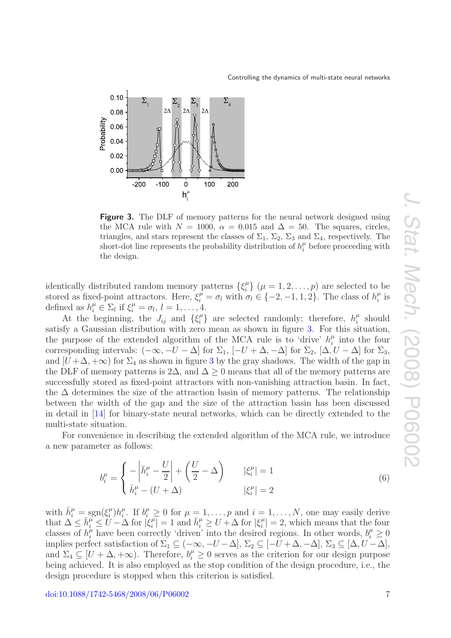<span id="page-7-0"></span>

**Figure 3.** The DLF of memory patterns for the neural network designed using the MCA rule with  $N = 1000$ ,  $\alpha = 0.015$  and  $\Delta = 50$ . The squares, circles, triangles, and stars represent the classes of  $\Sigma_1$ ,  $\Sigma_2$ ,  $\Sigma_3$  and  $\Sigma_4$ , respectively. The short-dot line represents the probability distribution of  $h_i^{\mu}$  before proceeding with the design.

identically distributed random memory patterns  $\{\xi_i^{\mu}\}\ (\mu = 1, 2, \ldots, p)$  are selected to be stored as fixed-point attractors. Here,  $\xi_i^{\mu} = \sigma_l$  with  $\sigma_l \in \{-2, -1, 1, 2\}$ . The class of  $h_i^{\mu}$  is defined as  $h_i^{\mu} \in \Sigma_l$  if  $\xi_i^{\mu} = \sigma_l, l = 1, \ldots, 4$ .

At the beginning, the  $J_{ij}$  and  $\{\xi_i^{\mu}\}\$  are selected randomly; therefore,  $h_i^{\mu}$  should satisfy a Gaussian distribution with zero mean as shown in figure [3.](#page-7-0) For this situation, the purpose of the extended algorithm of the MCA rule is to 'drive'  $h_i^{\mu}$  into the four corresponding intervals:  $(-\infty, -U - \Delta]$  for  $\Sigma_1$ ,  $[-U + \Delta, -\Delta]$  for  $\Sigma_2$ ,  $[\Delta, U - \Delta]$  for  $\Sigma_3$ , and  $[U+\Delta, +\infty)$  for  $\Sigma_4$  as shown in figure [3](#page-7-0) by the gray shadows. The width of the gap in the DLF of memory patterns is  $2\Delta$ , and  $\Delta \geq 0$  means that all of the memory patterns are successfully stored as fixed-point attractors with non-vanishing attraction basin. In fact, the  $\Delta$  determines the size of the attraction basin of memory patterns. The relationship between the width of the gap and the size of the attraction basin has been discussed in detail in [\[14\]](#page-11-10) for binary-state neural networks, which can be directly extended to the multi-state situation.

For convenience in describing the extended algorithm of the MCA rule, we introduce a new parameter as follows:

$$
b_i^{\mu} = \begin{cases} -\left|\bar{h}_i^{\mu} - \frac{U}{2}\right| + \left(\frac{U}{2} - \Delta\right) & |\xi_i^{\mu}| = 1\\ \bar{h}_i^{\mu} - (U + \Delta) & |\xi_i^{\mu}| = 2 \end{cases}
$$
(6)

with  $\bar{h}_i^{\mu} = \text{sgn}(\xi_i^{\mu}) h_i^{\mu}$ . If  $b_i^{\mu} \geq 0$  for  $\mu = 1, \ldots, p$  and  $i = 1, \ldots, N$ , one may easily derive that  $\Delta \leq \bar{h}_i^{\mu} \leq U - \Delta$  for  $|\xi_i^{\mu}| = 1$  and  $\bar{h}_i^{\mu} \geq U + \Delta$  for  $|\xi_i^{\mu}| = 2$ , which means that the four classes of  $h_i^{\mu}$  have been correctly 'driven' into the desired regions. In other words,  $b_i^{\mu} \ge 0$ implies perfect satisfaction of  $\Sigma_1 \subseteq (-\infty, -U - \Delta], \Sigma_2 \subseteq [-U + \Delta, -\Delta], \Sigma_3 \subseteq [\Delta, U - \Delta],$ and  $\Sigma_4 \subseteq [U + \Delta, +\infty)$ . Therefore,  $b_i^{\mu} \geq 0$  serves as the criterion for our design purpose being achieved. It is also employed as the stop condition of the design procedure, i.e., the design procedure is stopped when this criterion is satisfied.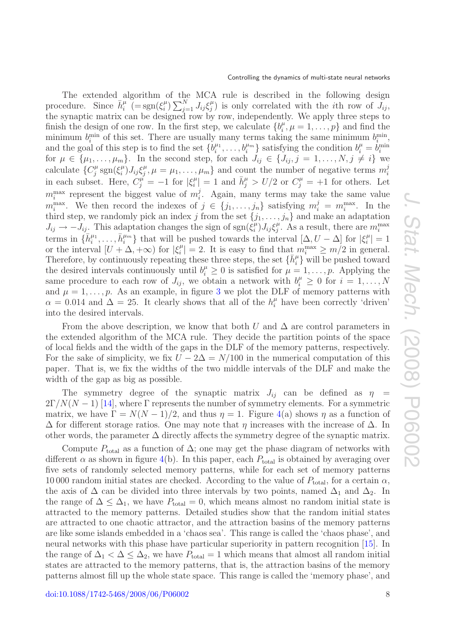#### Controlling the dynamics of multi-state neural networks

The extended algorithm of the MCA rule is described in the following design procedure. Since  $\bar{h}_i^{\mu}$   $(= \text{sgn}(\xi_i^{\mu}) \sum_{j=1}^N J_{ij} \xi_j^{\mu})$  is only correlated with the *i*th row of  $J_{ij}$ , the synaptic matrix can be designed row by row, independently. We apply three steps to finish the design of one row. In the first step, we calculate  ${b_i^{\mu}, \mu = 1, ..., p}$  and find the minimum  $b_i^{\min}$  of this set. There are usually many terms taking the same minimum  $b_i^{\min}$ , and the goal of this step is to find the set  $\{b_i^{\mu_1}, \ldots, b_i^{\mu_m}\}$  satisfying the condition  $b_i^{\mu} = b_i^{\min}$ for  $\mu \in {\mu_1, \ldots, \mu_m}$ . In the second step, for each  $J_{ij} \in {J_{ij}, j = 1, \ldots, N, j \neq i}$  we calculate  $\{C_j^{\mu} \text{sgn}(\xi_i^{\mu})J_{ij}\xi_j^{\mu}, \mu = \mu_1, \dots, \mu_m\}$  and count the number of negative terms  $m_i^j$  in each subset. Here,  $C_j^{\mu} = -1$  for  $|\xi_i^{\mu}| = 1$  and  $\bar{h}_j^{\mu} > U/2$  or  $C_j^{\mu} = +1$  for others. Let  $m_i^{\text{max}}$  represent the biggest value of  $m_i^j$ . Again, many terms may take the same value  $m_i^{\max}$ . We then record the indexes of  $j \in \{j_1, \ldots, j_n\}$  satisfying  $m_i^j = m_i^{\max}$ . In the third step, we randomly pick an index j from the set  $\{j_1,\ldots,j_n\}$  and make an adaptation  $J_{ij} \to -J_{ij}$ . This adaptation changes the sign of sgn $(\xi_i^{\mu}) J_{ij} \xi_j^{\mu}$ . As a result, there are  $m_i^{\max}$ terms in  $\{\bar{h}_i^{\mu_1}, \ldots, \bar{h}_i^{\mu_m}\}\$  that will be pushed towards the interval  $[\Delta, U - \Delta]$  for  $|\xi_i^{\mu}| = 1$ or the interval  $[U + \Delta, +\infty)$  for  $|\xi_i^{\mu}| = 2$ . It is easy to find that  $m_i^{\max} \geq m/2$  in general. Therefore, by continuously repeating these three steps, the set  $\{\bar{h}_i^{\mu}\}\$  will be pushed toward the desired intervals continuously until  $b_i^{\mu} \geq 0$  is satisfied for  $\mu = 1, \ldots, p$ . Applying the same procedure to each row of  $J_{ij}$ , we obtain a network with  $b_i^{\mu} \geq 0$  for  $i = 1, ..., N$ and  $\mu = 1, \ldots, p$ . As an example, in figure [3](#page-7-0) we plot the DLF of memory patterns with  $\alpha = 0.014$  and  $\Delta = 25$ . It clearly shows that all of the  $h_i^{\mu}$  have been correctly 'driven' into the desired intervals.

From the above description, we know that both U and  $\Delta$  are control parameters in the extended algorithm of the MCA rule. They decide the partition points of the space of local fields and the width of the gaps in the DLF of the memory patterns, respectively. For the sake of simplicity, we fix  $U - 2\Delta = N/100$  in the numerical computation of this paper. That is, we fix the widths of the two middle intervals of the DLF and make the width of the gap as big as possible.

The symmetry degree of the synaptic matrix  $J_{ij}$  can be defined as  $\eta$  =  $2\Gamma/N(N-1)$  [\[14\]](#page-11-10), where  $\Gamma$  represents the number of symmetry elements. For a symmetric matrix, we have  $\Gamma = N(N-1)/2$ , and thus  $\eta = 1$ . Figure [4\(](#page-9-0)a) shows  $\eta$  as a function of  $\Delta$  for different storage ratios. One may note that  $\eta$  increases with the increase of  $\Delta$ . In other words, the parameter  $\Delta$  directly affects the symmetry degree of the synaptic matrix.

Compute  $P_{total}$  as a function of  $\Delta$ ; one may get the phase diagram of networks with different  $\alpha$  as shown in figure [4\(](#page-9-0)b). In this paper, each  $P_{total}$  is obtained by averaging over five sets of randomly selected memory patterns, while for each set of memory patterns 10 000 random initial states are checked. According to the value of  $P_{\text{total}}$ , for a certain  $\alpha$ , the axis of  $\Delta$  can be divided into three intervals by two points, named  $\Delta_1$  and  $\Delta_2$ . In the range of  $\Delta \leq \Delta_1$ , we have  $P_{\text{total}} = 0$ , which means almost no random initial state is attracted to the memory patterns. Detailed studies show that the random initial states are attracted to one chaotic attractor, and the attraction basins of the memory patterns are like some islands embedded in a 'chaos sea'. This range is called the 'chaos phase', and neural networks with this phase have particular superiority in pattern recognition [\[15\]](#page-11-12). In the range of  $\Delta_1 < \Delta \leq \Delta_2$ , we have  $P_{\text{total}} = 1$  which means that almost all random initial states are attracted to the memory patterns, that is, the attraction basins of the memory patterns almost fill up the whole state space. This range is called the 'memory phase', and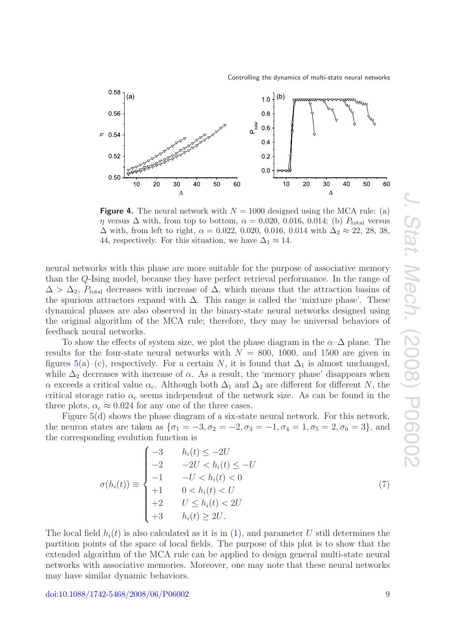

<span id="page-9-0"></span>

**Figure 4.** The neural network with  $N = 1000$  designed using the MCA rule: (a)  $\eta$  versus  $\Delta$  with, from top to bottom,  $\alpha = 0.020, 0.016, 0.014$ ; (b)  $P_{\text{total}}$  versus  $Δ$  with, from left to right,  $α = 0.022, 0.020, 0.016, 0.014$  with  $Δ₂ ≈ 22, 28, 38,$ 44, respectively. For this situation, we have  $\Delta_1 \approx 14$ .

neural networks with this phase are more suitable for the purpose of associative memory than the Q-Ising model, because they have perfect retrieval performance. In the range of  $\Delta > \Delta_2$ , P<sub>total</sub> decreases with increase of  $\Delta$ , which means that the attraction basins of the spurious attractors expand with  $\Delta$ . This range is called the 'mixture phase'. These dynamical phases are also observed in the binary-state neural networks designed using the original algorithm of the MCA rule; therefore, they may be universal behaviors of feedback neural networks.

To show the effects of system size, we plot the phase diagram in the  $\alpha-\Delta$  plane. The results for the four-state neural networks with  $N = 800, 1000,$  and 1500 are given in figures  $5(a)$  $5(a)$ –(c), respectively. For a certain N, it is found that  $\Delta_1$  is almost unchanged, while  $\Delta_2$  decreases with increase of  $\alpha$ . As a result, the 'memory phase' disappears when  $\alpha$  exceeds a critical value  $\alpha_c$ . Although both  $\Delta_1$  and  $\Delta_2$  are different for different N, the critical storage ratio  $\alpha_c$  seems independent of the network size. As can be found in the three plots,  $\alpha_c \approx 0.024$  for any one of the three cases.

Figure [5\(](#page-10-1)d) shows the phase diagram of a six-state neural network. For this network, the neuron states are taken as  ${\sigma_1 = -3, \sigma_2 = -2, \sigma_3 = -1, \sigma_4 = 1, \sigma_5 = 2, \sigma_6 = 3}$ , and the corresponding evolution function is

$$
\sigma(h_i(t)) \equiv \begin{cases}\n-3 & h_i(t) \le -2U \\
-2 & -2U < h_i(t) \le -U \\
-1 & -U < h_i(t) < 0 \\
+1 & 0 < h_i(t) < U \\
+2 & U < h_i(t) < 2U \\
+3 & h_i(t) \ge 2U.\n\end{cases} \tag{7}
$$

The local field  $h_i(t)$  is also calculated as it is in [\(1\)](#page-3-2), and parameter U still determines the partition points of the space of local fields. The purpose of this plot is to show that the extended algorithm of the MCA rule can be applied to design general multi-state neural networks with associative memories. Moreover, one may note that these neural networks may have similar dynamic behaviors.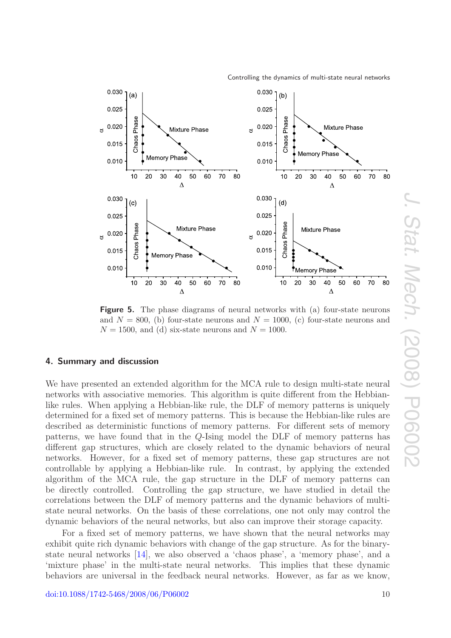

<span id="page-10-1"></span>

**Figure 5.** The phase diagrams of neural networks with (a) four-state neurons and  $N = 800$ , (b) four-state neurons and  $N = 1000$ , (c) four-state neurons and  $N = 1500$ , and (d) six-state neurons and  $N = 1000$ .

#### <span id="page-10-0"></span>**4. Summary and discussion**

We have presented an extended algorithm for the MCA rule to design multi-state neural networks with associative memories. This algorithm is quite different from the Hebbianlike rules. When applying a Hebbian-like rule, the DLF of memory patterns is uniquely determined for a fixed set of memory patterns. This is because the Hebbian-like rules are described as deterministic functions of memory patterns. For different sets of memory patterns, we have found that in the Q-Ising model the DLF of memory patterns has different gap structures, which are closely related to the dynamic behaviors of neural networks. However, for a fixed set of memory patterns, these gap structures are not controllable by applying a Hebbian-like rule. In contrast, by applying the extended algorithm of the MCA rule, the gap structure in the DLF of memory patterns can be directly controlled. Controlling the gap structure, we have studied in detail the correlations between the DLF of memory patterns and the dynamic behaviors of multistate neural networks. On the basis of these correlations, one not only may control the dynamic behaviors of the neural networks, but also can improve their storage capacity.

For a fixed set of memory patterns, we have shown that the neural networks may exhibit quite rich dynamic behaviors with change of the gap structure. As for the binarystate neural networks [\[14\]](#page-11-10), we also observed a 'chaos phase', a 'memory phase', and a 'mixture phase' in the multi-state neural networks. This implies that these dynamic behaviors are universal in the feedback neural networks. However, as far as we know,